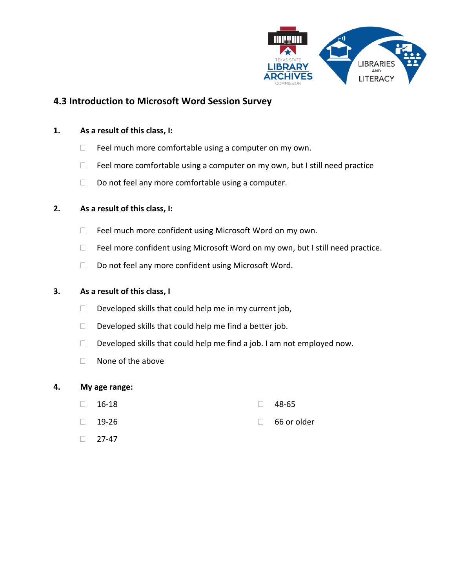

# **4.3 Introduction to Microsoft Word Session Survey**

### **1. As a result of this class, I:**

- $\Box$  Feel much more comfortable using a computer on my own.
- $\Box$  Feel more comfortable using a computer on my own, but I still need practice
- $\Box$  Do not feel any more comfortable using a computer.

## **2. As a result of this class, I:**

- □ Feel much more confident using Microsoft Word on my own.
- $\Box$  Feel more confident using Microsoft Word on my own, but I still need practice.
- □ Do not feel any more confident using Microsoft Word.

### **3. As a result of this class, I**

- $\Box$  Developed skills that could help me in my current job,
- $\Box$  Developed skills that could help me find a better job.
- $\Box$  Developed skills that could help me find a job. I am not employed now.
- $\Box$  None of the above

#### **4. My age range:**

- $\Box$  16-18  $\Box$  48-65
- $\Box$  19-26 66 or older
- $\Box$  27-47